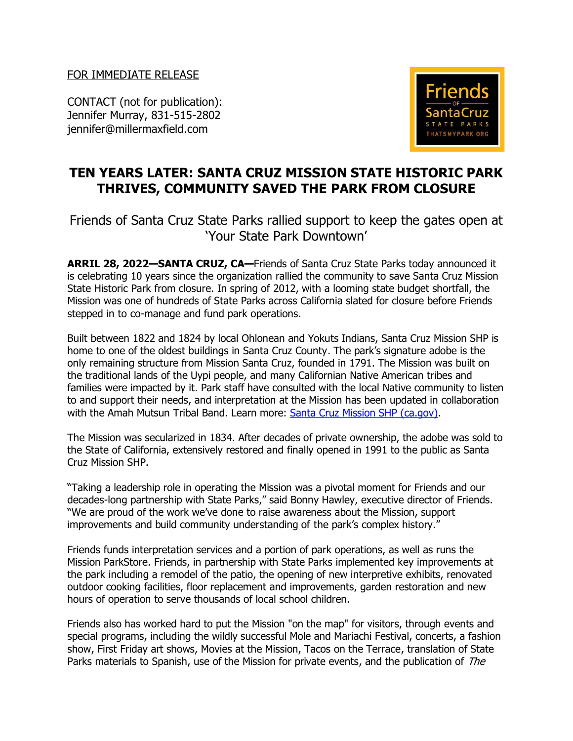FOR IMMEDIATE RELEASE

CONTACT (not for publication): Jennifer Murray, 831-515-2802 jennifer@millermaxfield.com



## **TEN YEARS LATER: SANTA CRUZ MISSION STATE HISTORIC PARK THRIVES, COMMUNITY SAVED THE PARK FROM CLOSURE**

Friends of Santa Cruz State Parks rallied support to keep the gates open at 'Your State Park Downtown'

**ARRIL 28, 2022—SANTA CRUZ, CA—**Friends of Santa Cruz State Parks today announced it is celebrating 10 years since the organization rallied the community to save [Santa Cruz Mission](https://thatsmypark.org/parks-and-beaches/santa-cruz-mission-state-historic-park/)  [State Historic Park](https://thatsmypark.org/parks-and-beaches/santa-cruz-mission-state-historic-park/) from closure. In spring of 2012, with a looming state budget shortfall, the Mission was one of hundreds of State Parks across California slated for closure before Friends stepped in to co-manage and fund park operations.

Built between 1822 and 1824 by local Ohlonean and Yokuts Indians, Santa Cruz Mission SHP is home to one of the oldest buildings in Santa Cruz County. The park's signature adobe is the only remaining structure from Mission Santa Cruz, founded in 1791. The Mission was built on the traditional lands of the Uypi people, and many Californian Native American tribes and families were impacted by it. Park staff have consulted with the local Native community to listen to and support their needs, and interpretation at the Mission has been updated in collaboration with the Amah Mutsun Tribal Band. Learn more: [Santa Cruz Mission SHP \(ca.gov\).](https://www.parks.ca.gov/?page_id=548)

The Mission was secularized in 1834. After decades of private ownership, the adobe was sold to the State of California, extensively restored and finally opened in 1991 to the public as Santa Cruz Mission SHP.

"Taking a leadership role in operating the Mission was a pivotal moment for Friends and our decades-long partnership with State Parks," said Bonny Hawley, executive director of Friends. "We are proud of the work we've done to raise awareness about the Mission, support improvements and build community understanding of the park's complex history."

Friends funds interpretation services and a portion of park operations, as well as runs the Mission ParkStore. Friends, in partnership with State Parks implemented key improvements at the park including a remodel of the patio, the opening of new interpretive exhibits, renovated outdoor cooking facilities, floor replacement and improvements, garden restoration and new hours of operation to serve thousands of local school children.

Friends also has worked hard to put the Mission "on the map" for visitors, through events and special programs, including the wildly successful Mole and Mariachi Festival, concerts, a fashion show, First Friday art shows, Movies at the Mission, Tacos on the Terrace, translation of State Parks materials to Spanish, use of the Mission for private events, and the publication of The